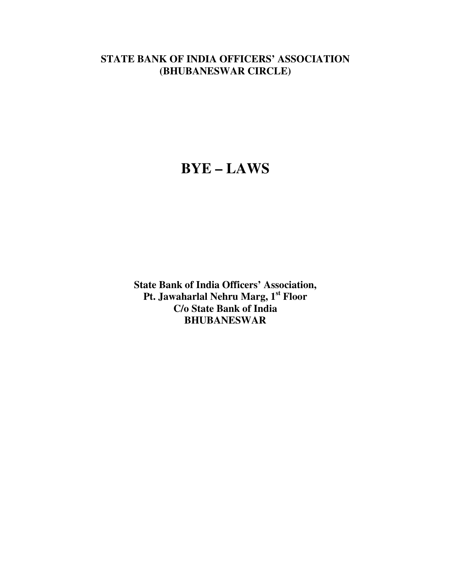## **STATE BANK OF INDIA OFFICERS' ASSOCIATION (BHUBANESWAR CIRCLE)**

# **BYE – LAWS**

**State Bank of India Officers' Association, Pt. Jawaharlal Nehru Marg, 1st Floor C/o State Bank of India BHUBANESWAR**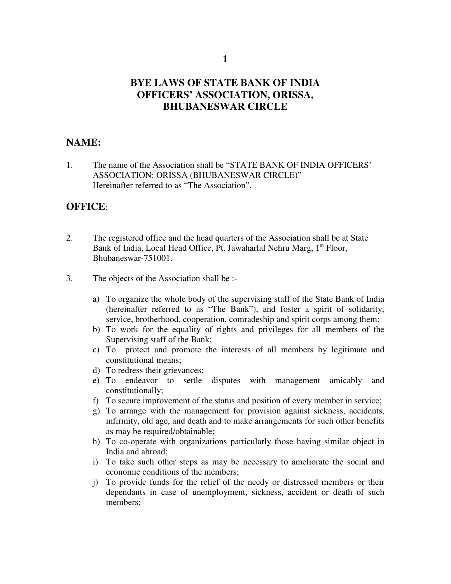## **BYE LAWS OF STATE BANK OF INDIA OFFICERS' ASSOCIATION, ORISSA, BHUBANESWAR CIRCLE**

## **NAME:**

1. The name of the Association shall be "STATE BANK OF INDIA OFFICERS' ASSOCIATION: ORISSA (BHUBANESWAR CIRCLE)" Hereinafter referred to as "The Association".

## **OFFICE**:

- 2. The registered office and the head quarters of the Association shall be at State Bank of India, Local Head Office, Pt. Jawaharlal Nehru Marg, 1<sup>st</sup> Floor, Bhubaneswar-751001.
- 3. The objects of the Association shall be :
	- a) To organize the whole body of the supervising staff of the State Bank of India (hereinafter referred to as "The Bank"), and foster a spirit of solidarity, service, brotherhood, cooperation, comradeship and spirit corps among them:
	- b) To work for the equality of rights and privileges for all members of the Supervising staff of the Bank;
	- c) To protect and promote the interests of all members by legitimate and constitutional means;
	- d) To redress their grievances;
	- e) To endeavor to settle disputes with management amicably and constitutionally;
	- f) To secure improvement of the status and position of every member in service;
	- g) To arrange with the management for provision against sickness, accidents, infirmity, old age, and death and to make arrangements for such other benefits as may be required/obtainable;
	- h) To co-operate with organizations particularly those having similar object in India and abroad;
	- i) To take such other steps as may be necessary to ameliorate the social and economic conditions of the members;
	- j) To provide funds for the relief of the needy or distressed members or their dependants in case of unemployment, sickness, accident or death of such members;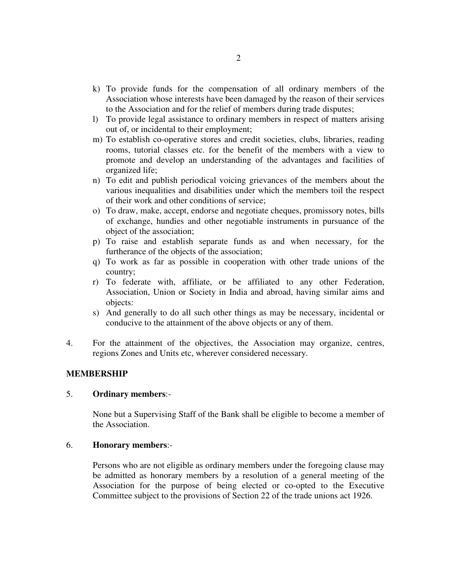- k) To provide funds for the compensation of all ordinary members of the Association whose interests have been damaged by the reason of their services to the Association and for the relief of members during trade disputes;
- l) To provide legal assistance to ordinary members in respect of matters arising out of, or incidental to their employment;
- m) To establish co-operative stores and credit societies, clubs, libraries, reading rooms, tutorial classes etc. for the benefit of the members with a view to promote and develop an understanding of the advantages and facilities of organized life;
- n) To edit and publish periodical voicing grievances of the members about the various inequalities and disabilities under which the members toil the respect of their work and other conditions of service;
- o) To draw, make, accept, endorse and negotiate cheques, promissory notes, bills of exchange, hundies and other negotiable instruments in pursuance of the object of the association;
- p) To raise and establish separate funds as and when necessary, for the furtherance of the objects of the association;
- q) To work as far as possible in cooperation with other trade unions of the country;
- r) To federate with, affiliate, or be affiliated to any other Federation, Association, Union or Society in India and abroad, having similar aims and objects:
- s) And generally to do all such other things as may be necessary, incidental or conducive to the attainment of the above objects or any of them.
- 4. For the attainment of the objectives, the Association may organize, centres, regions Zones and Units etc, wherever considered necessary.

#### **MEMBERSHIP**

#### 5. **Ordinary members**:-

None but a Supervising Staff of the Bank shall be eligible to become a member of the Association.

#### 6. **Honorary members**:-

Persons who are not eligible as ordinary members under the foregoing clause may be admitted as honorary members by a resolution of a general meeting of the Association for the purpose of being elected or co-opted to the Executive Committee subject to the provisions of Section 22 of the trade unions act 1926.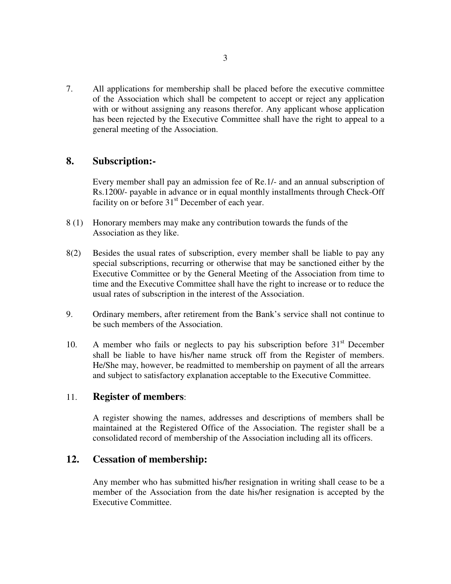7. All applications for membership shall be placed before the executive committee of the Association which shall be competent to accept or reject any application with or without assigning any reasons therefor. Any applicant whose application has been rejected by the Executive Committee shall have the right to appeal to a general meeting of the Association.

#### **8. Subscription:-**

Every member shall pay an admission fee of Re.1/- and an annual subscription of Rs.1200/- payable in advance or in equal monthly installments through Check-Off facility on or before  $31<sup>st</sup>$  December of each year.

- 8 (1) Honorary members may make any contribution towards the funds of the Association as they like.
- 8(2) Besides the usual rates of subscription, every member shall be liable to pay any special subscriptions, recurring or otherwise that may be sanctioned either by the Executive Committee or by the General Meeting of the Association from time to time and the Executive Committee shall have the right to increase or to reduce the usual rates of subscription in the interest of the Association.
- 9. Ordinary members, after retirement from the Bank's service shall not continue to be such members of the Association.
- 10. A member who fails or neglects to pay his subscription before  $31<sup>st</sup>$  December shall be liable to have his/her name struck off from the Register of members. He/She may, however, be readmitted to membership on payment of all the arrears and subject to satisfactory explanation acceptable to the Executive Committee.

#### 11. **Register of members**:

A register showing the names, addresses and descriptions of members shall be maintained at the Registered Office of the Association. The register shall be a consolidated record of membership of the Association including all its officers.

## **12. Cessation of membership:**

Any member who has submitted his/her resignation in writing shall cease to be a member of the Association from the date his/her resignation is accepted by the Executive Committee.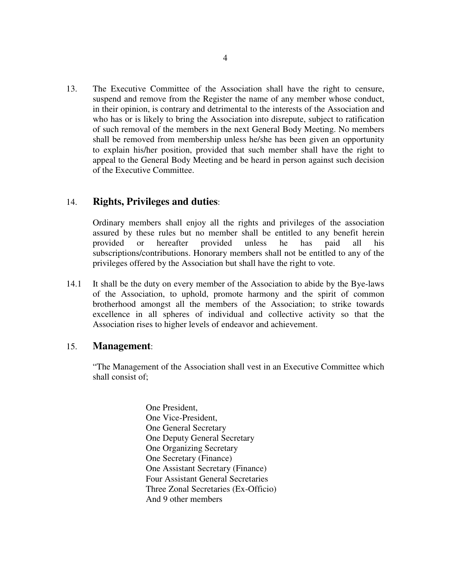13. The Executive Committee of the Association shall have the right to censure, suspend and remove from the Register the name of any member whose conduct, in their opinion, is contrary and detrimental to the interests of the Association and who has or is likely to bring the Association into disrepute, subject to ratification of such removal of the members in the next General Body Meeting. No members shall be removed from membership unless he/she has been given an opportunity to explain his/her position, provided that such member shall have the right to appeal to the General Body Meeting and be heard in person against such decision of the Executive Committee.

#### 14. **Rights, Privileges and duties**:

Ordinary members shall enjoy all the rights and privileges of the association assured by these rules but no member shall be entitled to any benefit herein provided or hereafter provided unless he has paid all his subscriptions/contributions. Honorary members shall not be entitled to any of the privileges offered by the Association but shall have the right to vote.

14.1 It shall be the duty on every member of the Association to abide by the Bye-laws of the Association, to uphold, promote harmony and the spirit of common brotherhood amongst all the members of the Association; to strike towards excellence in all spheres of individual and collective activity so that the Association rises to higher levels of endeavor and achievement.

#### 15. **Management**:

"The Management of the Association shall vest in an Executive Committee which shall consist of;

> One President, One Vice-President, One General Secretary One Deputy General Secretary One Organizing Secretary One Secretary (Finance) One Assistant Secretary (Finance) Four Assistant General Secretaries Three Zonal Secretaries (Ex-Officio) And 9 other members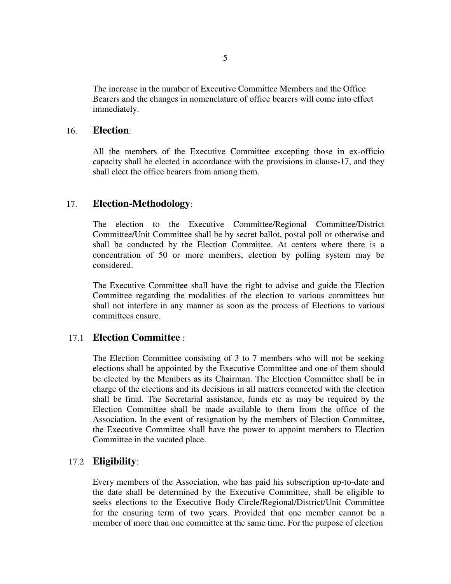The increase in the number of Executive Committee Members and the Office Bearers and the changes in nomenclature of office bearers will come into effect immediately.

#### 16. **Election**:

All the members of the Executive Committee excepting those in ex-officio capacity shall be elected in accordance with the provisions in clause-17, and they shall elect the office bearers from among them.

#### 17. **Election-Methodology**:

The election to the Executive Committee/Regional Committee/District Committee/Unit Committee shall be by secret ballot, postal poll or otherwise and shall be conducted by the Election Committee. At centers where there is a concentration of 50 or more members, election by polling system may be considered.

The Executive Committee shall have the right to advise and guide the Election Committee regarding the modalities of the election to various committees but shall not interfere in any manner as soon as the process of Elections to various committees ensure.

#### 17.1 **Election Committee** :

The Election Committee consisting of 3 to 7 members who will not be seeking elections shall be appointed by the Executive Committee and one of them should be elected by the Members as its Chairman. The Election Committee shall be in charge of the elections and its decisions in all matters connected with the election shall be final. The Secretarial assistance, funds etc as may be required by the Election Committee shall be made available to them from the office of the Association. In the event of resignation by the members of Election Committee, the Executive Committee shall have the power to appoint members to Election Committee in the vacated place.

#### 17.2 **Eligibility**:

Every members of the Association, who has paid his subscription up-to-date and the date shall be determined by the Executive Committee, shall be eligible to seeks elections to the Executive Body Circle/Regional/District/Unit Committee for the ensuring term of two years. Provided that one member cannot be a member of more than one committee at the same time. For the purpose of election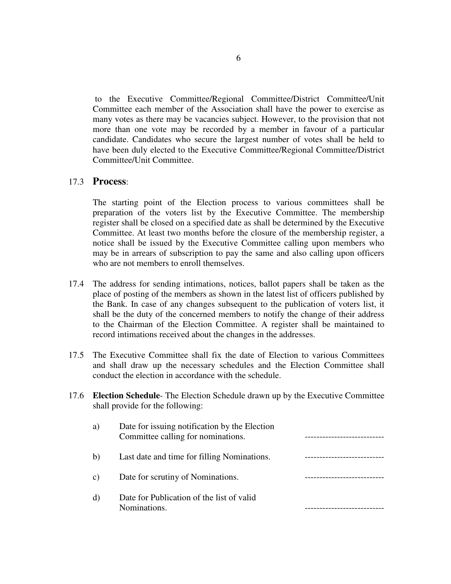to the Executive Committee/Regional Committee/District Committee/Unit Committee each member of the Association shall have the power to exercise as many votes as there may be vacancies subject. However, to the provision that not more than one vote may be recorded by a member in favour of a particular candidate. Candidates who secure the largest number of votes shall be held to have been duly elected to the Executive Committee/Regional Committee/District Committee/Unit Committee.

#### 17.3 **Process**:

The starting point of the Election process to various committees shall be preparation of the voters list by the Executive Committee. The membership register shall be closed on a specified date as shall be determined by the Executive Committee. At least two months before the closure of the membership register, a notice shall be issued by the Executive Committee calling upon members who may be in arrears of subscription to pay the same and also calling upon officers who are not members to enroll themselves.

- 17.4 The address for sending intimations, notices, ballot papers shall be taken as the place of posting of the members as shown in the latest list of officers published by the Bank. In case of any changes subsequent to the publication of voters list, it shall be the duty of the concerned members to notify the change of their address to the Chairman of the Election Committee. A register shall be maintained to record intimations received about the changes in the addresses.
- 17.5 The Executive Committee shall fix the date of Election to various Committees and shall draw up the necessary schedules and the Election Committee shall conduct the election in accordance with the schedule.
- 17.6 **Election Schedule** The Election Schedule drawn up by the Executive Committee shall provide for the following:

| a) | Date for issuing notification by the Election<br>Committee calling for nominations. |  |
|----|-------------------------------------------------------------------------------------|--|
| b) | Last date and time for filling Nominations.                                         |  |
| C) | Date for scrutiny of Nominations.                                                   |  |
| d) | Date for Publication of the list of valid<br>Nominations.                           |  |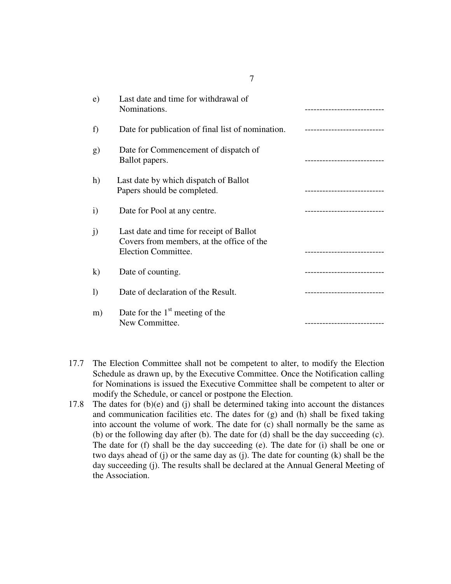| $\epsilon$ )     | Last date and time for withdrawal of<br>Nominations.                                                         |                       |
|------------------|--------------------------------------------------------------------------------------------------------------|-----------------------|
|                  |                                                                                                              |                       |
| f)               | Date for publication of final list of nomination.                                                            |                       |
| g)               | Date for Commencement of dispatch of<br>Ballot papers.                                                       |                       |
| h)               | Last date by which dispatch of Ballot<br>Papers should be completed.                                         |                       |
| $\ddot{i}$       | Date for Pool at any centre.                                                                                 |                       |
| j)               | Last date and time for receipt of Ballot<br>Covers from members, at the office of the<br>Election Committee. |                       |
| $\bf k)$         | Date of counting.                                                                                            |                       |
| $\left( \right)$ | Date of declaration of the Result.                                                                           |                       |
| m)               | Date for the $1st$ meeting of the<br>New Committee.                                                          | --------------------- |

- 17.7 The Election Committee shall not be competent to alter, to modify the Election Schedule as drawn up, by the Executive Committee. Once the Notification calling for Nominations is issued the Executive Committee shall be competent to alter or modify the Schedule, or cancel or postpone the Election.
- 17.8 The dates for  $(b)(e)$  and  $(i)$  shall be determined taking into account the distances and communication facilities etc. The dates for  $(g)$  and  $(h)$  shall be fixed taking into account the volume of work. The date for (c) shall normally be the same as (b) or the following day after (b). The date for (d) shall be the day succeeding (c). The date for (f) shall be the day succeeding (e). The date for (i) shall be one or two days ahead of (j) or the same day as (j). The date for counting (k) shall be the day succeeding (j). The results shall be declared at the Annual General Meeting of the Association.

7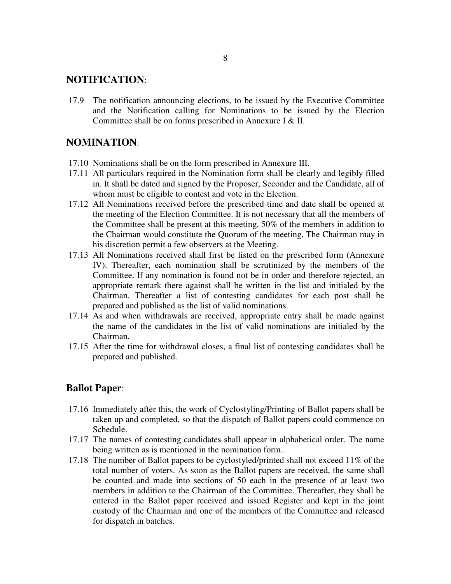#### **NOTIFICATION**:

17.9 The notification announcing elections, to be issued by the Executive Committee and the Notification calling for Nominations to be issued by the Election Committee shall be on forms prescribed in Annexure I & II.

### **NOMINATION**:

- 17.10 Nominations shall be on the form prescribed in Annexure III.
- 17.11 All particulars required in the Nomination form shall be clearly and legibly filled in. It shall be dated and signed by the Proposer, Seconder and the Candidate, all of whom must be eligible to contest and vote in the Election.
- 17.12 All Nominations received before the prescribed time and date shall be opened at the meeting of the Election Committee. It is not necessary that all the members of the Committee shall be present at this meeting. 50% of the members in addition to the Chairman would constitute the Quorum of the meeting. The Chairman may in his discretion permit a few observers at the Meeting.
- 17.13 All Nominations received shall first be listed on the prescribed form (Annexure IV). Thereafter, each nomination shall be scrutinized by the members of the Committee. If any nomination is found not be in order and therefore rejected, an appropriate remark there against shall be written in the list and initialed by the Chairman. Thereafter a list of contesting candidates for each post shall be prepared and published as the list of valid nominations.
- 17.14 As and when withdrawals are received, appropriate entry shall be made against the name of the candidates in the list of valid nominations are initialed by the Chairman.
- 17.15 After the time for withdrawal closes, a final list of contesting candidates shall be prepared and published.

## **Ballot Paper**:

- 17.16 Immediately after this, the work of Cyclostyling/Printing of Ballot papers shall be taken up and completed, so that the dispatch of Ballot papers could commence on Schedule.
- 17.17 The names of contesting candidates shall appear in alphabetical order. The name being written as is mentioned in the nomination form..
- 17.18 The number of Ballot papers to be cyclostyled/printed shall not exceed 11% of the total number of voters. As soon as the Ballot papers are received, the same shall be counted and made into sections of 50 each in the presence of at least two members in addition to the Chairman of the Committee. Thereafter, they shall be entered in the Ballot paper received and issued Register and kept in the joint custody of the Chairman and one of the members of the Committee and released for dispatch in batches.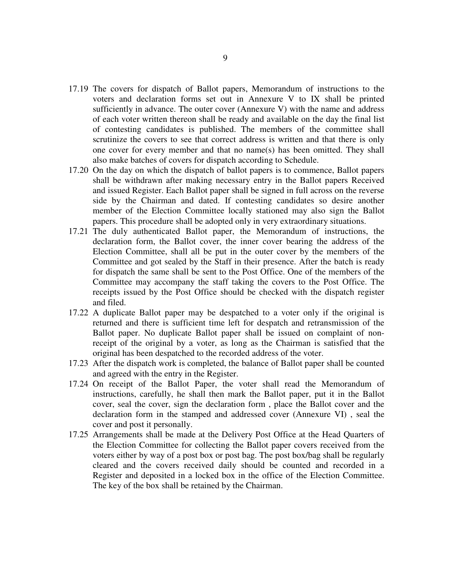- 17.19 The covers for dispatch of Ballot papers, Memorandum of instructions to the voters and declaration forms set out in Annexure V to IX shall be printed sufficiently in advance. The outer cover (Annexure V) with the name and address of each voter written thereon shall be ready and available on the day the final list of contesting candidates is published. The members of the committee shall scrutinize the covers to see that correct address is written and that there is only one cover for every member and that no name(s) has been omitted. They shall also make batches of covers for dispatch according to Schedule.
- 17.20 On the day on which the dispatch of ballot papers is to commence, Ballot papers shall be withdrawn after making necessary entry in the Ballot papers Received and issued Register. Each Ballot paper shall be signed in full across on the reverse side by the Chairman and dated. If contesting candidates so desire another member of the Election Committee locally stationed may also sign the Ballot papers. This procedure shall be adopted only in very extraordinary situations.
- 17.21 The duly authenticated Ballot paper, the Memorandum of instructions, the declaration form, the Ballot cover, the inner cover bearing the address of the Election Committee, shall all be put in the outer cover by the members of the Committee and got sealed by the Staff in their presence. After the batch is ready for dispatch the same shall be sent to the Post Office. One of the members of the Committee may accompany the staff taking the covers to the Post Office. The receipts issued by the Post Office should be checked with the dispatch register and filed.
- 17.22 A duplicate Ballot paper may be despatched to a voter only if the original is returned and there is sufficient time left for despatch and retransmission of the Ballot paper. No duplicate Ballot paper shall be issued on complaint of nonreceipt of the original by a voter, as long as the Chairman is satisfied that the original has been despatched to the recorded address of the voter.
- 17.23 After the dispatch work is completed, the balance of Ballot paper shall be counted and agreed with the entry in the Register.
- 17.24 On receipt of the Ballot Paper, the voter shall read the Memorandum of instructions, carefully, he shall then mark the Ballot paper, put it in the Ballot cover, seal the cover, sign the declaration form , place the Ballot cover and the declaration form in the stamped and addressed cover (Annexure VI) , seal the cover and post it personally.
- 17.25 Arrangements shall be made at the Delivery Post Office at the Head Quarters of the Election Committee for collecting the Ballot paper covers received from the voters either by way of a post box or post bag. The post box/bag shall be regularly cleared and the covers received daily should be counted and recorded in a Register and deposited in a locked box in the office of the Election Committee. The key of the box shall be retained by the Chairman.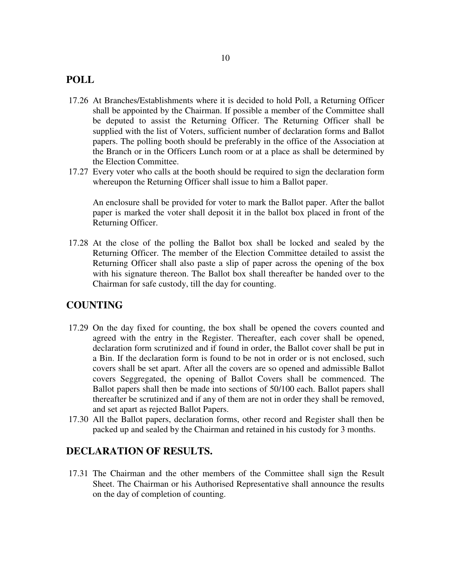### **POLL**

- 17.26 At Branches/Establishments where it is decided to hold Poll, a Returning Officer shall be appointed by the Chairman. If possible a member of the Committee shall be deputed to assist the Returning Officer. The Returning Officer shall be supplied with the list of Voters, sufficient number of declaration forms and Ballot papers. The polling booth should be preferably in the office of the Association at the Branch or in the Officers Lunch room or at a place as shall be determined by the Election Committee.
- 17.27 Every voter who calls at the booth should be required to sign the declaration form whereupon the Returning Officer shall issue to him a Ballot paper.

An enclosure shall be provided for voter to mark the Ballot paper. After the ballot paper is marked the voter shall deposit it in the ballot box placed in front of the Returning Officer.

17.28 At the close of the polling the Ballot box shall be locked and sealed by the Returning Officer. The member of the Election Committee detailed to assist the Returning Officer shall also paste a slip of paper across the opening of the box with his signature thereon. The Ballot box shall thereafter be handed over to the Chairman for safe custody, till the day for counting.

## **COUNTING**

- 17.29 On the day fixed for counting, the box shall be opened the covers counted and agreed with the entry in the Register. Thereafter, each cover shall be opened, declaration form scrutinized and if found in order, the Ballot cover shall be put in a Bin. If the declaration form is found to be not in order or is not enclosed, such covers shall be set apart. After all the covers are so opened and admissible Ballot covers Seggregated, the opening of Ballot Covers shall be commenced. The Ballot papers shall then be made into sections of 50/100 each. Ballot papers shall thereafter be scrutinized and if any of them are not in order they shall be removed, and set apart as rejected Ballot Papers.
- 17.30 All the Ballot papers, declaration forms, other record and Register shall then be packed up and sealed by the Chairman and retained in his custody for 3 months.

### **DECLARATION OF RESULTS.**

17.31 The Chairman and the other members of the Committee shall sign the Result Sheet. The Chairman or his Authorised Representative shall announce the results on the day of completion of counting.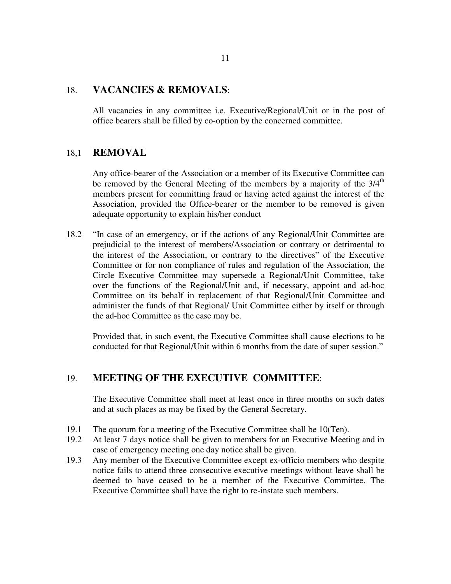#### 18. **VACANCIES & REMOVALS**:

All vacancies in any committee i.e. Executive/Regional/Unit or in the post of office bearers shall be filled by co-option by the concerned committee.

#### 18,1 **REMOVAL**

Any office-bearer of the Association or a member of its Executive Committee can be removed by the General Meeting of the members by a majority of the  $3/4<sup>th</sup>$ members present for committing fraud or having acted against the interest of the Association, provided the Office-bearer or the member to be removed is given adequate opportunity to explain his/her conduct

18.2 "In case of an emergency, or if the actions of any Regional/Unit Committee are prejudicial to the interest of members/Association or contrary or detrimental to the interest of the Association, or contrary to the directives" of the Executive Committee or for non compliance of rules and regulation of the Association, the Circle Executive Committee may supersede a Regional/Unit Committee, take over the functions of the Regional/Unit and, if necessary, appoint and ad-hoc Committee on its behalf in replacement of that Regional/Unit Committee and administer the funds of that Regional/ Unit Committee either by itself or through the ad-hoc Committee as the case may be.

Provided that, in such event, the Executive Committee shall cause elections to be conducted for that Regional/Unit within 6 months from the date of super session."

#### 19. **MEETING OF THE EXECUTIVE COMMITTEE**:

The Executive Committee shall meet at least once in three months on such dates and at such places as may be fixed by the General Secretary.

- 19.1 The quorum for a meeting of the Executive Committee shall be 10(Ten).
- 19.2 At least 7 days notice shall be given to members for an Executive Meeting and in case of emergency meeting one day notice shall be given.
- 19.3 Any member of the Executive Committee except ex-officio members who despite notice fails to attend three consecutive executive meetings without leave shall be deemed to have ceased to be a member of the Executive Committee. The Executive Committee shall have the right to re-instate such members.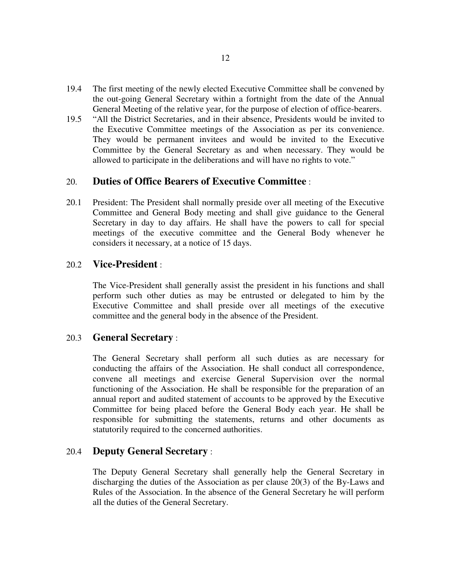- 19.4 The first meeting of the newly elected Executive Committee shall be convened by the out-going General Secretary within a fortnight from the date of the Annual General Meeting of the relative year, for the purpose of election of office-bearers.
- 19.5 "All the District Secretaries, and in their absence, Presidents would be invited to the Executive Committee meetings of the Association as per its convenience. They would be permanent invitees and would be invited to the Executive Committee by the General Secretary as and when necessary. They would be allowed to participate in the deliberations and will have no rights to vote."

#### 20. **Duties of Office Bearers of Executive Committee** :

20.1 President: The President shall normally preside over all meeting of the Executive Committee and General Body meeting and shall give guidance to the General Secretary in day to day affairs. He shall have the powers to call for special meetings of the executive committee and the General Body whenever he considers it necessary, at a notice of 15 days.

#### 20.2 **Vice-President** :

The Vice-President shall generally assist the president in his functions and shall perform such other duties as may be entrusted or delegated to him by the Executive Committee and shall preside over all meetings of the executive committee and the general body in the absence of the President.

#### 20.3 **General Secretary** :

The General Secretary shall perform all such duties as are necessary for conducting the affairs of the Association. He shall conduct all correspondence, convene all meetings and exercise General Supervision over the normal functioning of the Association. He shall be responsible for the preparation of an annual report and audited statement of accounts to be approved by the Executive Committee for being placed before the General Body each year. He shall be responsible for submitting the statements, returns and other documents as statutorily required to the concerned authorities.

#### 20.4 **Deputy General Secretary** :

The Deputy General Secretary shall generally help the General Secretary in discharging the duties of the Association as per clause 20(3) of the By-Laws and Rules of the Association. In the absence of the General Secretary he will perform all the duties of the General Secretary.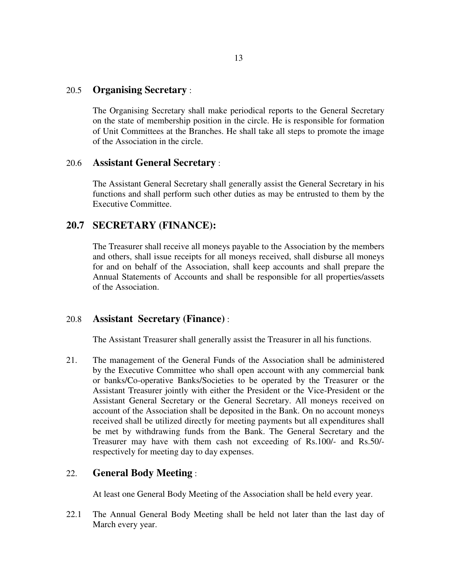#### 20.5 **Organising Secretary** :

The Organising Secretary shall make periodical reports to the General Secretary on the state of membership position in the circle. He is responsible for formation of Unit Committees at the Branches. He shall take all steps to promote the image of the Association in the circle.

#### 20.6 **Assistant General Secretary** :

The Assistant General Secretary shall generally assist the General Secretary in his functions and shall perform such other duties as may be entrusted to them by the Executive Committee.

### **20.7 SECRETARY (FINANCE):**

The Treasurer shall receive all moneys payable to the Association by the members and others, shall issue receipts for all moneys received, shall disburse all moneys for and on behalf of the Association, shall keep accounts and shall prepare the Annual Statements of Accounts and shall be responsible for all properties/assets of the Association.

#### 20.8 **Assistant Secretary (Finance)** :

The Assistant Treasurer shall generally assist the Treasurer in all his functions.

21. The management of the General Funds of the Association shall be administered by the Executive Committee who shall open account with any commercial bank or banks/Co-operative Banks/Societies to be operated by the Treasurer or the Assistant Treasurer jointly with either the President or the Vice-President or the Assistant General Secretary or the General Secretary. All moneys received on account of the Association shall be deposited in the Bank. On no account moneys received shall be utilized directly for meeting payments but all expenditures shall be met by withdrawing funds from the Bank. The General Secretary and the Treasurer may have with them cash not exceeding of Rs.100/- and Rs.50/ respectively for meeting day to day expenses.

#### 22. **General Body Meeting** :

At least one General Body Meeting of the Association shall be held every year.

22.1 The Annual General Body Meeting shall be held not later than the last day of March every year.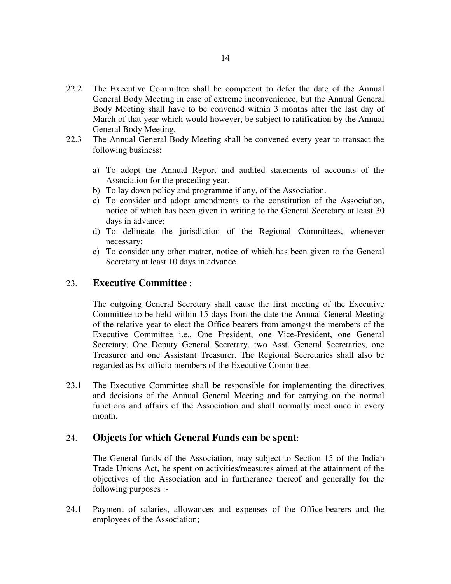- 22.2 The Executive Committee shall be competent to defer the date of the Annual General Body Meeting in case of extreme inconvenience, but the Annual General Body Meeting shall have to be convened within 3 months after the last day of March of that year which would however, be subject to ratification by the Annual General Body Meeting.
- 22.3 The Annual General Body Meeting shall be convened every year to transact the following business:
	- a) To adopt the Annual Report and audited statements of accounts of the Association for the preceding year.
	- b) To lay down policy and programme if any, of the Association.
	- c) To consider and adopt amendments to the constitution of the Association, notice of which has been given in writing to the General Secretary at least 30 days in advance;
	- d) To delineate the jurisdiction of the Regional Committees, whenever necessary;
	- e) To consider any other matter, notice of which has been given to the General Secretary at least 10 days in advance.

#### 23. **Executive Committee** :

The outgoing General Secretary shall cause the first meeting of the Executive Committee to be held within 15 days from the date the Annual General Meeting of the relative year to elect the Office-bearers from amongst the members of the Executive Committee i.e., One President, one Vice-President, one General Secretary, One Deputy General Secretary, two Asst. General Secretaries, one Treasurer and one Assistant Treasurer. The Regional Secretaries shall also be regarded as Ex-officio members of the Executive Committee.

23.1 The Executive Committee shall be responsible for implementing the directives and decisions of the Annual General Meeting and for carrying on the normal functions and affairs of the Association and shall normally meet once in every month.

#### 24. **Objects for which General Funds can be spent**:

The General funds of the Association, may subject to Section 15 of the Indian Trade Unions Act, be spent on activities/measures aimed at the attainment of the objectives of the Association and in furtherance thereof and generally for the following purposes :-

24.1 Payment of salaries, allowances and expenses of the Office-bearers and the employees of the Association;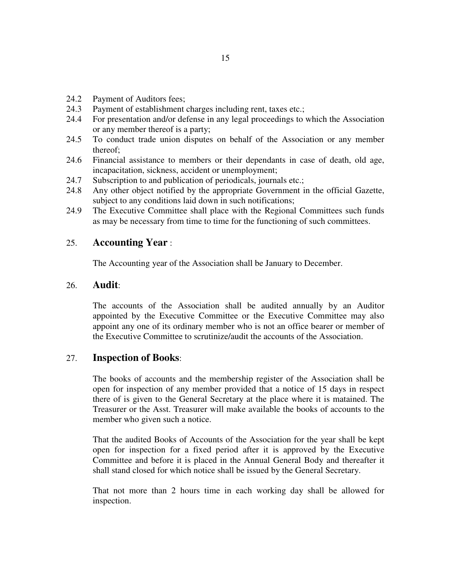- 24.2 Payment of Auditors fees;
- 24.3 Payment of establishment charges including rent, taxes etc.;
- 24.4 For presentation and/or defense in any legal proceedings to which the Association or any member thereof is a party;
- 24.5 To conduct trade union disputes on behalf of the Association or any member thereof;
- 24.6 Financial assistance to members or their dependants in case of death, old age, incapacitation, sickness, accident or unemployment;
- 24.7 Subscription to and publication of periodicals, journals etc.;
- 24.8 Any other object notified by the appropriate Government in the official Gazette, subject to any conditions laid down in such notifications;
- 24.9 The Executive Committee shall place with the Regional Committees such funds as may be necessary from time to time for the functioning of such committees.

#### 25. **Accounting Year** :

The Accounting year of the Association shall be January to December.

#### 26. **Audit**:

The accounts of the Association shall be audited annually by an Auditor appointed by the Executive Committee or the Executive Committee may also appoint any one of its ordinary member who is not an office bearer or member of the Executive Committee to scrutinize/audit the accounts of the Association.

#### 27. **Inspection of Books**:

The books of accounts and the membership register of the Association shall be open for inspection of any member provided that a notice of 15 days in respect there of is given to the General Secretary at the place where it is matained. The Treasurer or the Asst. Treasurer will make available the books of accounts to the member who given such a notice.

That the audited Books of Accounts of the Association for the year shall be kept open for inspection for a fixed period after it is approved by the Executive Committee and before it is placed in the Annual General Body and thereafter it shall stand closed for which notice shall be issued by the General Secretary.

That not more than 2 hours time in each working day shall be allowed for inspection.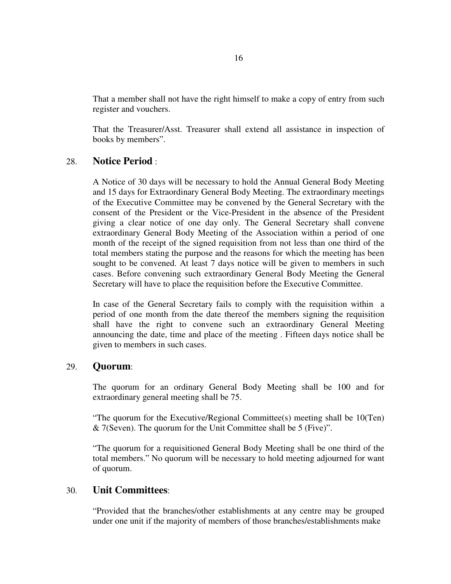That a member shall not have the right himself to make a copy of entry from such register and vouchers.

That the Treasurer/Asst. Treasurer shall extend all assistance in inspection of books by members".

#### 28. **Notice Period** :

A Notice of 30 days will be necessary to hold the Annual General Body Meeting and 15 days for Extraordinary General Body Meeting. The extraordinary meetings of the Executive Committee may be convened by the General Secretary with the consent of the President or the Vice-President in the absence of the President giving a clear notice of one day only. The General Secretary shall convene extraordinary General Body Meeting of the Association within a period of one month of the receipt of the signed requisition from not less than one third of the total members stating the purpose and the reasons for which the meeting has been sought to be convened. At least 7 days notice will be given to members in such cases. Before convening such extraordinary General Body Meeting the General Secretary will have to place the requisition before the Executive Committee.

In case of the General Secretary fails to comply with the requisition within a period of one month from the date thereof the members signing the requisition shall have the right to convene such an extraordinary General Meeting announcing the date, time and place of the meeting . Fifteen days notice shall be given to members in such cases.

#### 29. **Quorum**:

The quorum for an ordinary General Body Meeting shall be 100 and for extraordinary general meeting shall be 75.

"The quorum for the Executive/Regional Committee(s) meeting shall be 10(Ten) & 7(Seven). The quorum for the Unit Committee shall be 5 (Five)".

"The quorum for a requisitioned General Body Meeting shall be one third of the total members." No quorum will be necessary to hold meeting adjourned for want of quorum.

#### 30. **Unit Committees**:

"Provided that the branches/other establishments at any centre may be grouped under one unit if the majority of members of those branches/establishments make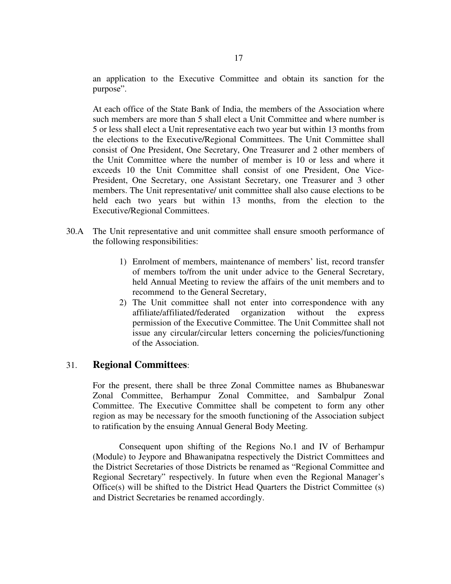an application to the Executive Committee and obtain its sanction for the purpose".

At each office of the State Bank of India, the members of the Association where such members are more than 5 shall elect a Unit Committee and where number is 5 or less shall elect a Unit representative each two year but within 13 months from the elections to the Executive/Regional Committees. The Unit Committee shall consist of One President, One Secretary, One Treasurer and 2 other members of the Unit Committee where the number of member is 10 or less and where it exceeds 10 the Unit Committee shall consist of one President, One Vice-President, One Secretary, one Assistant Secretary, one Treasurer and 3 other members. The Unit representative/ unit committee shall also cause elections to be held each two years but within 13 months, from the election to the Executive/Regional Committees.

- 30.A The Unit representative and unit committee shall ensure smooth performance of the following responsibilities:
	- 1) Enrolment of members, maintenance of members' list, record transfer of members to/from the unit under advice to the General Secretary, held Annual Meeting to review the affairs of the unit members and to recommend to the General Secretary,
	- 2) The Unit committee shall not enter into correspondence with any affiliate/affiliated/federated organization without the express permission of the Executive Committee. The Unit Committee shall not issue any circular/circular letters concerning the policies/functioning of the Association.

#### 31. **Regional Committees**:

For the present, there shall be three Zonal Committee names as Bhubaneswar Zonal Committee, Berhampur Zonal Committee, and Sambalpur Zonal Committee. The Executive Committee shall be competent to form any other region as may be necessary for the smooth functioning of the Association subject to ratification by the ensuing Annual General Body Meeting.

Consequent upon shifting of the Regions No.1 and IV of Berhampur (Module) to Jeypore and Bhawanipatna respectively the District Committees and the District Secretaries of those Districts be renamed as "Regional Committee and Regional Secretary" respectively. In future when even the Regional Manager's Office(s) will be shifted to the District Head Quarters the District Committee (s) and District Secretaries be renamed accordingly.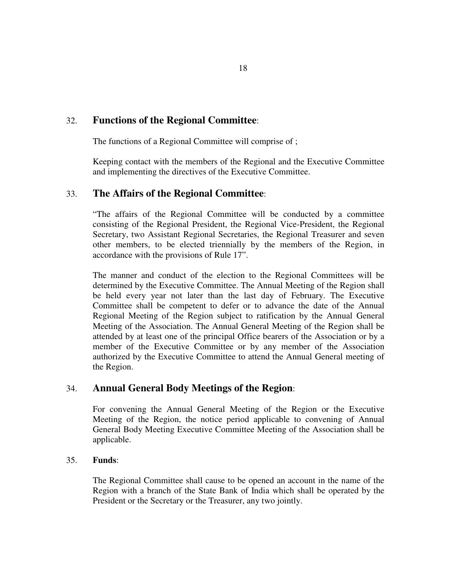#### 32. **Functions of the Regional Committee**:

The functions of a Regional Committee will comprise of ;

Keeping contact with the members of the Regional and the Executive Committee and implementing the directives of the Executive Committee.

#### 33. **The Affairs of the Regional Committee**:

"The affairs of the Regional Committee will be conducted by a committee consisting of the Regional President, the Regional Vice-President, the Regional Secretary, two Assistant Regional Secretaries, the Regional Treasurer and seven other members, to be elected triennially by the members of the Region, in accordance with the provisions of Rule 17".

The manner and conduct of the election to the Regional Committees will be determined by the Executive Committee. The Annual Meeting of the Region shall be held every year not later than the last day of February. The Executive Committee shall be competent to defer or to advance the date of the Annual Regional Meeting of the Region subject to ratification by the Annual General Meeting of the Association. The Annual General Meeting of the Region shall be attended by at least one of the principal Office bearers of the Association or by a member of the Executive Committee or by any member of the Association authorized by the Executive Committee to attend the Annual General meeting of the Region.

#### 34. **Annual General Body Meetings of the Region**:

For convening the Annual General Meeting of the Region or the Executive Meeting of the Region, the notice period applicable to convening of Annual General Body Meeting Executive Committee Meeting of the Association shall be applicable.

#### 35. **Funds**:

The Regional Committee shall cause to be opened an account in the name of the Region with a branch of the State Bank of India which shall be operated by the President or the Secretary or the Treasurer, any two jointly.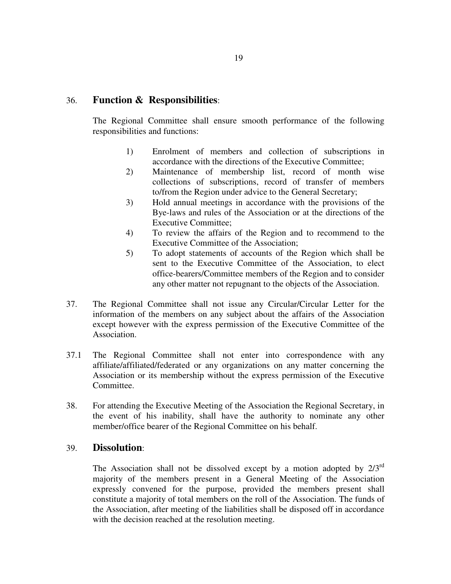#### 36. **Function & Responsibilities**:

The Regional Committee shall ensure smooth performance of the following responsibilities and functions:

- 1) Enrolment of members and collection of subscriptions in accordance with the directions of the Executive Committee;
- 2) Maintenance of membership list, record of month wise collections of subscriptions, record of transfer of members to/from the Region under advice to the General Secretary;
- 3) Hold annual meetings in accordance with the provisions of the Bye-laws and rules of the Association or at the directions of the Executive Committee;
- 4) To review the affairs of the Region and to recommend to the Executive Committee of the Association;
- 5) To adopt statements of accounts of the Region which shall be sent to the Executive Committee of the Association, to elect office-bearers/Committee members of the Region and to consider any other matter not repugnant to the objects of the Association.
- 37. The Regional Committee shall not issue any Circular/Circular Letter for the information of the members on any subject about the affairs of the Association except however with the express permission of the Executive Committee of the Association.
- 37.1 The Regional Committee shall not enter into correspondence with any affiliate/affiliated/federated or any organizations on any matter concerning the Association or its membership without the express permission of the Executive Committee.
- 38. For attending the Executive Meeting of the Association the Regional Secretary, in the event of his inability, shall have the authority to nominate any other member/office bearer of the Regional Committee on his behalf.

#### 39. **Dissolution**:

The Association shall not be dissolved except by a motion adopted by  $2/3^{rd}$ majority of the members present in a General Meeting of the Association expressly convened for the purpose, provided the members present shall constitute a majority of total members on the roll of the Association. The funds of the Association, after meeting of the liabilities shall be disposed off in accordance with the decision reached at the resolution meeting.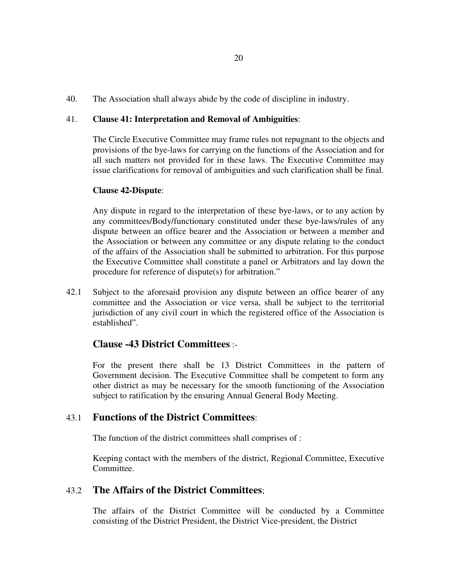40. The Association shall always abide by the code of discipline in industry.

#### 41. **Clause 41: Interpretation and Removal of Ambiguities**:

The Circle Executive Committee may frame rules not repugnant to the objects and provisions of the bye-laws for carrying on the functions of the Association and for all such matters not provided for in these laws. The Executive Committee may issue clarifications for removal of ambiguities and such clarification shall be final.

#### **Clause 42-Dispute**:

Any dispute in regard to the interpretation of these bye-laws, or to any action by any committees/Body/functionary constituted under these bye-laws/rules of any dispute between an office bearer and the Association or between a member and the Association or between any committee or any dispute relating to the conduct of the affairs of the Association shall be submitted to arbitration. For this purpose the Executive Committee shall constitute a panel or Arbitrators and lay down the procedure for reference of dispute(s) for arbitration."

42.1 Subject to the aforesaid provision any dispute between an office bearer of any committee and the Association or vice versa, shall be subject to the territorial jurisdiction of any civil court in which the registered office of the Association is established".

#### **Clause -43 District Committees** :-

For the present there shall be 13 District Committees in the pattern of Government decision. The Executive Committee shall be competent to form any other district as may be necessary for the smooth functioning of the Association subject to ratification by the ensuring Annual General Body Meeting.

#### 43.1 **Functions of the District Committees**:

The function of the district committees shall comprises of :

Keeping contact with the members of the district, Regional Committee, Executive Committee.

#### 43.2 **The Affairs of the District Committees**;

The affairs of the District Committee will be conducted by a Committee consisting of the District President, the District Vice-president, the District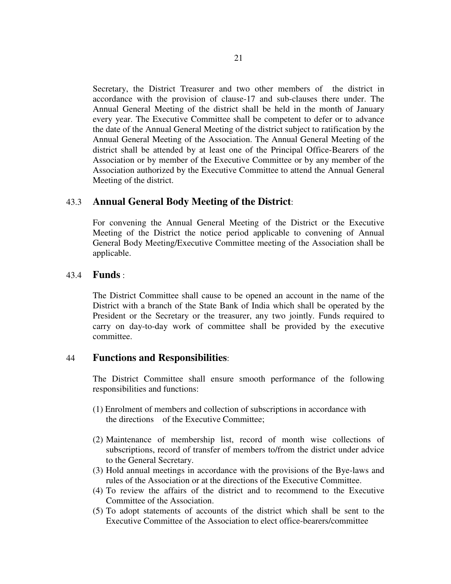Secretary, the District Treasurer and two other members of the district in accordance with the provision of clause-17 and sub-clauses there under. The Annual General Meeting of the district shall be held in the month of January every year. The Executive Committee shall be competent to defer or to advance the date of the Annual General Meeting of the district subject to ratification by the Annual General Meeting of the Association. The Annual General Meeting of the district shall be attended by at least one of the Principal Office-Bearers of the Association or by member of the Executive Committee or by any member of the Association authorized by the Executive Committee to attend the Annual General Meeting of the district.

#### 43.3 **Annual General Body Meeting of the District**:

For convening the Annual General Meeting of the District or the Executive Meeting of the District the notice period applicable to convening of Annual General Body Meeting/Executive Committee meeting of the Association shall be applicable.

#### 43.4 **Funds** :

The District Committee shall cause to be opened an account in the name of the District with a branch of the State Bank of India which shall be operated by the President or the Secretary or the treasurer, any two jointly. Funds required to carry on day-to-day work of committee shall be provided by the executive committee.

#### 44 **Functions and Responsibilities**:

The District Committee shall ensure smooth performance of the following responsibilities and functions:

- (1) Enrolment of members and collection of subscriptions in accordance with the directions of the Executive Committee;
- (2) Maintenance of membership list, record of month wise collections of subscriptions, record of transfer of members to/from the district under advice to the General Secretary.
- (3) Hold annual meetings in accordance with the provisions of the Bye-laws and rules of the Association or at the directions of the Executive Committee.
- (4) To review the affairs of the district and to recommend to the Executive Committee of the Association.
- (5) To adopt statements of accounts of the district which shall be sent to the Executive Committee of the Association to elect office-bearers/committee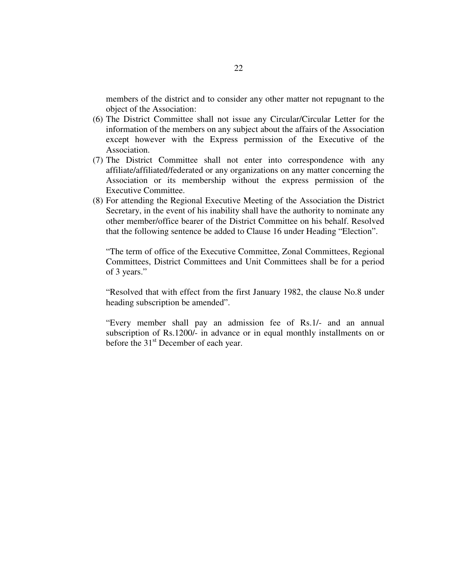members of the district and to consider any other matter not repugnant to the object of the Association:

- (6) The District Committee shall not issue any Circular/Circular Letter for the information of the members on any subject about the affairs of the Association except however with the Express permission of the Executive of the Association.
- (7) The District Committee shall not enter into correspondence with any affiliate/affiliated/federated or any organizations on any matter concerning the Association or its membership without the express permission of the Executive Committee.
- (8) For attending the Regional Executive Meeting of the Association the District Secretary, in the event of his inability shall have the authority to nominate any other member/office bearer of the District Committee on his behalf. Resolved that the following sentence be added to Clause 16 under Heading "Election".

"The term of office of the Executive Committee, Zonal Committees, Regional Committees, District Committees and Unit Committees shall be for a period of 3 years."

"Resolved that with effect from the first January 1982, the clause No.8 under heading subscription be amended".

"Every member shall pay an admission fee of Rs.1/- and an annual subscription of Rs.1200/- in advance or in equal monthly installments on or before the 31<sup>st</sup> December of each year.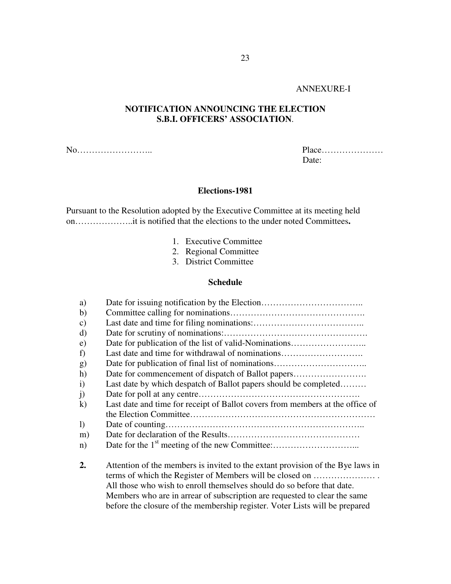#### ANNEXURE-I

#### **NOTIFICATION ANNOUNCING THE ELECTION S.B.I. OFFICERS' ASSOCIATION**.

No…………………….. Place…………………

Date:

#### **Elections-1981**

Pursuant to the Resolution adopted by the Executive Committee at its meeting held on………………..it is notified that the elections to the under noted Committees**.** 

- 1. Executive Committee
- 2. Regional Committee
- 3. District Committee

#### **Schedule**

| a)               |                                                                                |
|------------------|--------------------------------------------------------------------------------|
| b)               |                                                                                |
| $\mathbf{c})$    |                                                                                |
| d)               |                                                                                |
| $\epsilon$ )     | Date for publication of the list of valid-Nominations                          |
| f)               | Last date and time for withdrawal of nominations                               |
| $\mathbf{g}$     |                                                                                |
| h)               | Date for commencement of dispatch of Ballot papers                             |
| $\mathbf{i}$     | Last date by which despatch of Ballot papers should be completed               |
| j)               |                                                                                |
| $\bf k)$         | Last date and time for receipt of Ballot covers from members at the office of  |
|                  |                                                                                |
| $\left( \right)$ |                                                                                |
| m)               |                                                                                |
| n)               |                                                                                |
| 2.               | Attention of the members is invited to the extant provision of the Bye laws in |
|                  | terms of which the Register of Members will be closed on                       |
|                  | All those who wish to enroll themselves should do so before that date.         |
|                  | Members who are in arrear of subscription are requested to clear the same      |

before the closure of the membership register. Voter Lists will be prepared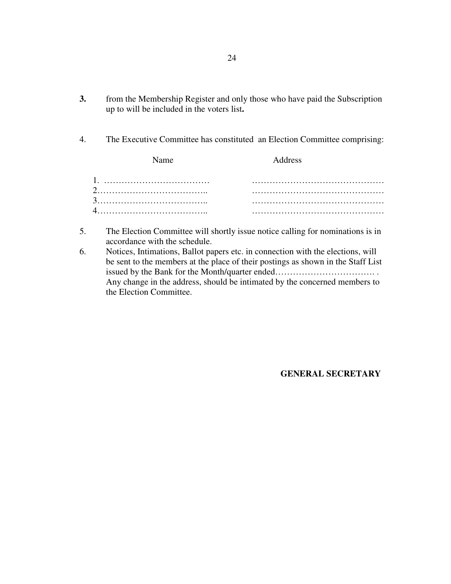- **3.** from the Membership Register and only those who have paid the Subscription up to will be included in the voters list**.**
- 4. The Executive Committee has constituted an Election Committee comprising:

| Name | Address |
|------|---------|
|      |         |
|      |         |
|      |         |

- 5. The Election Committee will shortly issue notice calling for nominations is in accordance with the schedule.
- 6. Notices, Intimations, Ballot papers etc. in connection with the elections, will be sent to the members at the place of their postings as shown in the Staff List issued by the Bank for the Month/quarter ended……………………………. . Any change in the address, should be intimated by the concerned members to the Election Committee.

#### **GENERAL SECRETARY**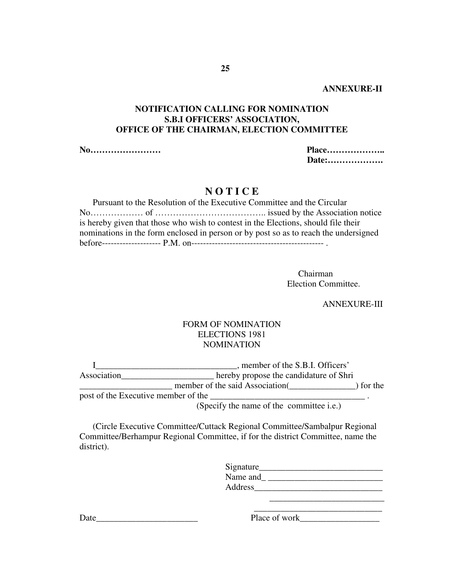**ANNEXURE-II** 

#### **NOTIFICATION CALLING FOR NOMINATION S.B.I OFFICERS' ASSOCIATION, OFFICE OF THE CHAIRMAN, ELECTION COMMITTEE**

**No…………………… Place………………..** 

 **Date:……………….** 

## **N O T I C E**

| Pursuant to the Resolution of the Executive Committee and the Circular               |  |
|--------------------------------------------------------------------------------------|--|
|                                                                                      |  |
| is hereby given that those who wish to contest in the Elections, should file their   |  |
| nominations in the form enclosed in person or by post so as to reach the undersigned |  |
|                                                                                      |  |

 Chairman Election Committee.

ANNEXURE-III

#### FORM OF NOMINATION ELECTIONS 1981 NOMINATION

 I\_\_\_\_\_\_\_\_\_\_\_\_\_\_\_\_\_\_\_\_\_\_\_\_\_\_\_\_\_\_\_\_, member of the S.B.I. Officers' Association\_\_\_\_\_\_\_\_\_\_\_\_\_\_\_\_\_\_\_\_\_\_\_\_ hereby propose the candidature of Shri \_\_\_\_\_\_\_\_\_\_\_\_\_\_\_\_\_\_\_\_\_ member of the said Association(\_\_\_\_\_\_\_\_\_\_\_\_\_\_\_) for the post of the Executive member of the \_\_\_\_\_\_\_\_\_\_\_\_\_\_\_\_\_\_\_\_\_\_\_\_\_\_\_\_\_\_\_\_\_\_\_ . (Specify the name of the committee i.e.)

 (Circle Executive Committee/Cuttack Regional Committee/Sambalpur Regional Committee/Berhampur Regional Committee, if for the district Committee, name the district).

| Signature<br>Name and<br>Address |
|----------------------------------|
|                                  |

Date Place of work Place of work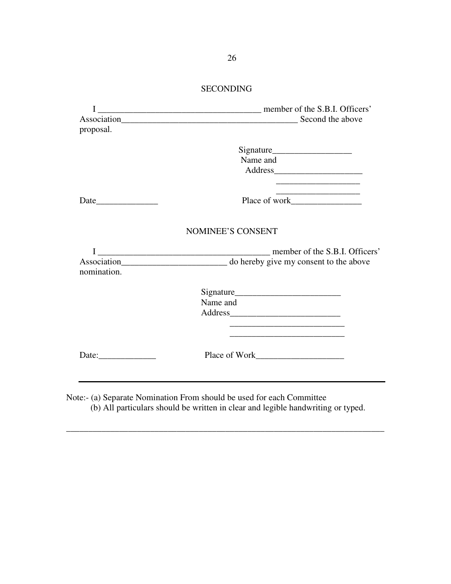## SECONDING

| member of the S.B.I. Officers'                                                                                       |
|----------------------------------------------------------------------------------------------------------------------|
|                                                                                                                      |
|                                                                                                                      |
|                                                                                                                      |
|                                                                                                                      |
| Name and                                                                                                             |
|                                                                                                                      |
| the control of the control of the control of the control of the control of                                           |
| <b>NOMINEE'S CONSENT</b>                                                                                             |
|                                                                                                                      |
|                                                                                                                      |
|                                                                                                                      |
|                                                                                                                      |
| Name and                                                                                                             |
|                                                                                                                      |
| <u> 1989 - Johann John Stone, markin film yn y brening yn y brening yn y brening yn y brening yn y brening y bre</u> |
| Place of Work                                                                                                        |
|                                                                                                                      |
|                                                                                                                      |

Note:- (a) Separate Nomination From should be used for each Committee (b) All particulars should be written in clear and legible handwriting or typed.

\_\_\_\_\_\_\_\_\_\_\_\_\_\_\_\_\_\_\_\_\_\_\_\_\_\_\_\_\_\_\_\_\_\_\_\_\_\_\_\_\_\_\_\_\_\_\_\_\_\_\_\_\_\_\_\_\_\_\_\_\_\_\_\_\_\_\_\_\_\_\_\_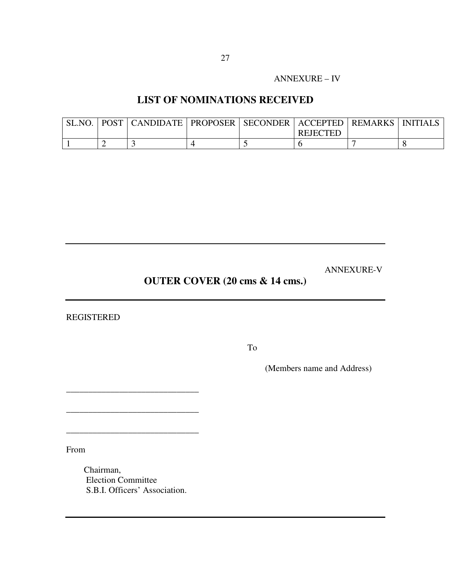ANNEXURE – IV

## **LIST OF NOMINATIONS RECEIVED**

| N <sub>O</sub> | <b>POST</b> | <b>CANDIDATE</b> 1 | <b>PROPOSER</b> | SECONDER | ACCEPTED        | <b>REMARKS</b> | <b>INITIALS</b> |
|----------------|-------------|--------------------|-----------------|----------|-----------------|----------------|-----------------|
|                |             |                    |                 |          | <b>REJECTED</b> |                |                 |
|                |             |                    |                 |          |                 |                |                 |

ANNEXURE-V

# **OUTER COVER (20 cms & 14 cms.)**

REGISTERED

To

(Members name and Address)

From

 Chairman, Election Committee S.B.I. Officers' Association.

\_\_\_\_\_\_\_\_\_\_\_\_\_\_\_\_\_\_\_\_\_\_\_\_\_\_\_\_\_\_

\_\_\_\_\_\_\_\_\_\_\_\_\_\_\_\_\_\_\_\_\_\_\_\_\_\_\_\_\_\_

\_\_\_\_\_\_\_\_\_\_\_\_\_\_\_\_\_\_\_\_\_\_\_\_\_\_\_\_\_\_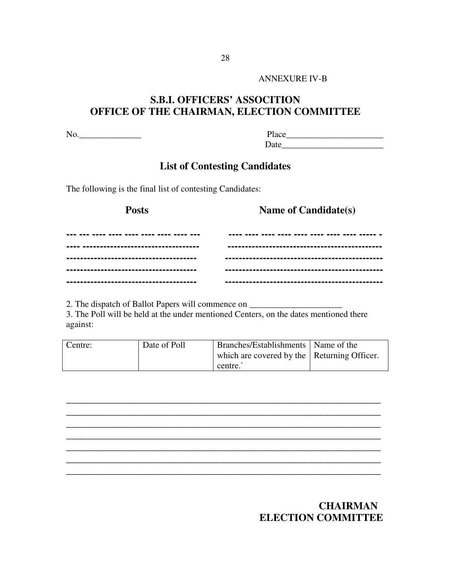#### ANNEXURE IV-B

## **S.B.I. OFFICERS' ASSOCITION OFFICE OF THE CHAIRMAN, ELECTION COMMITTEE**

| N. |  |
|----|--|
|    |  |

## **List of Contesting Candidates**

The following is the final list of contesting Candidates:

**Posts Name of Candidate(s)** 

2. The dispatch of Ballot Papers will commence on \_\_\_\_\_\_\_\_\_\_\_\_\_\_\_\_\_\_\_\_\_\_\_\_\_\_\_\_\_\_\_

3. The Poll will be held at the under mentioned Centers, on the dates mentioned there against:

| Centre: | Date of Poll | Branches/Establishments   Name of the               |  |
|---------|--------------|-----------------------------------------------------|--|
|         |              | which are covered by the $\vert$ Returning Officer. |  |
|         |              | centre.                                             |  |



## **CHAIRMAN ELECTION COMMITTEE**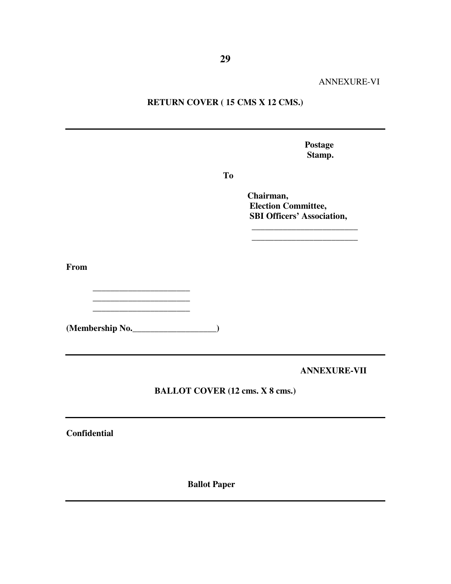ANNEXURE-VI

## **RETURN COVER ( 15 CMS X 12 CMS.)**

 **Postage Stamp.** 

 **To** 

 **Chairman, Election Committee, SBI Officers' Association,** 

 **\_\_\_\_\_\_\_\_\_\_\_\_\_\_\_\_\_\_\_\_\_\_\_\_** 

**From** 

 **\_\_\_\_\_\_\_\_\_\_\_\_\_\_\_\_\_\_\_\_\_\_ (Membership No.\_\_\_\_\_\_\_\_\_\_\_\_\_\_\_\_\_\_\_)** 

 **\_\_\_\_\_\_\_\_\_\_\_\_\_\_\_\_\_\_\_\_\_\_ \_\_\_\_\_\_\_\_\_\_\_\_\_\_\_\_\_\_\_\_\_\_** 

 **ANNEXURE-VII** 

**BALLOT COVER (12 cms. X 8 cms.)** 

**Confidential** 

 **Ballot Paper**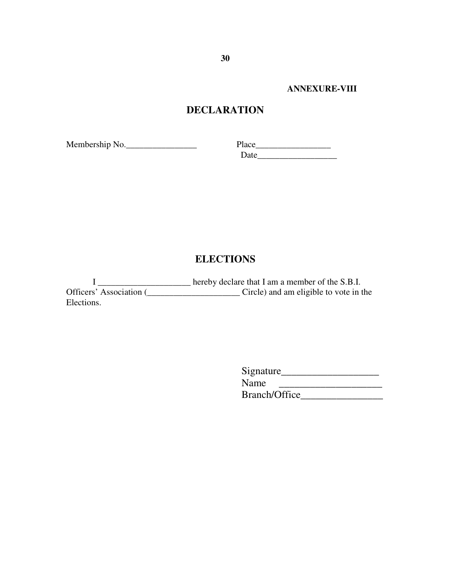**ANNEXURE-VIII** 

## **DECLARATION**

Membership No.\_\_\_\_\_\_\_\_\_\_\_\_\_\_\_\_ Place\_\_\_\_\_\_\_\_\_\_\_\_\_\_\_\_\_

Date\_\_\_\_\_\_\_\_\_\_\_\_\_\_\_\_\_\_

## **ELECTIONS**

I \_\_\_\_\_\_\_\_\_\_\_\_\_\_\_\_\_\_\_\_\_ hereby declare that I am a member of the S.B.I. Officers' Association (\_\_\_\_\_\_\_\_\_\_\_\_\_\_\_\_\_\_\_\_\_ Circle) and am eligible to vote in the Elections.

| Signature     |  |
|---------------|--|
| Name          |  |
| Branch/Office |  |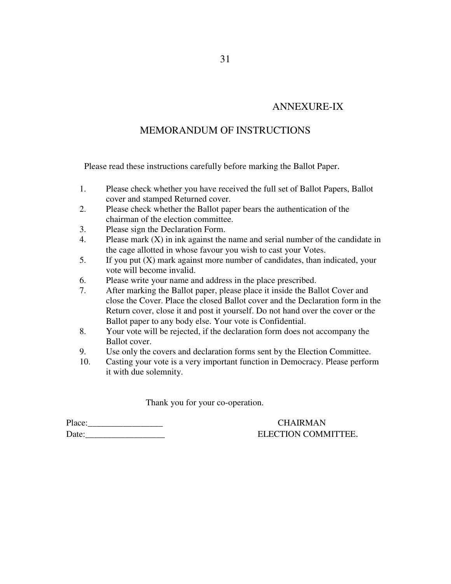## ANNEXURE-IX

## MEMORANDUM OF INSTRUCTIONS

Please read these instructions carefully before marking the Ballot Paper.

- 1. Please check whether you have received the full set of Ballot Papers, Ballot cover and stamped Returned cover.
- 2. Please check whether the Ballot paper bears the authentication of the chairman of the election committee.
- 3. Please sign the Declaration Form.
- 4. Please mark (X) in ink against the name and serial number of the candidate in the cage allotted in whose favour you wish to cast your Votes.
- 5. If you put (X) mark against more number of candidates, than indicated, your vote will become invalid.
- 6. Please write your name and address in the place prescribed.
- 7. After marking the Ballot paper, please place it inside the Ballot Cover and close the Cover. Place the closed Ballot cover and the Declaration form in the Return cover, close it and post it yourself. Do not hand over the cover or the Ballot paper to any body else. Your vote is Confidential.
- 8. Your vote will be rejected, if the declaration form does not accompany the Ballot cover.
- 9. Use only the covers and declaration forms sent by the Election Committee.
- 10. Casting your vote is a very important function in Democracy. Please perform it with due solemnity.

Thank you for your co-operation.

| Place: |  |  |
|--------|--|--|
| Date:  |  |  |

CHAIRMAN ELECTION COMMITTEE.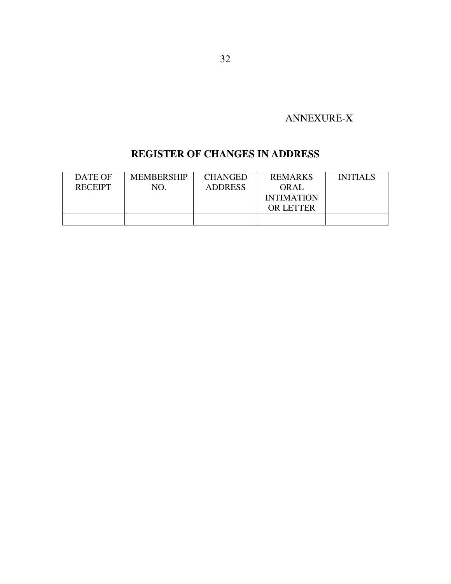## ANNEXURE-X

## **REGISTER OF CHANGES IN ADDRESS**

| DATE OF        | <b>MEMBERSHIP</b> | <b>CHANGED</b> | <b>REMARKS</b>    | <b>INITIALS</b> |
|----------------|-------------------|----------------|-------------------|-----------------|
| <b>RECEIPT</b> | NO.               | <b>ADDRESS</b> | ORAL              |                 |
|                |                   |                | <b>INTIMATION</b> |                 |
|                |                   |                | <b>OR LETTER</b>  |                 |
|                |                   |                |                   |                 |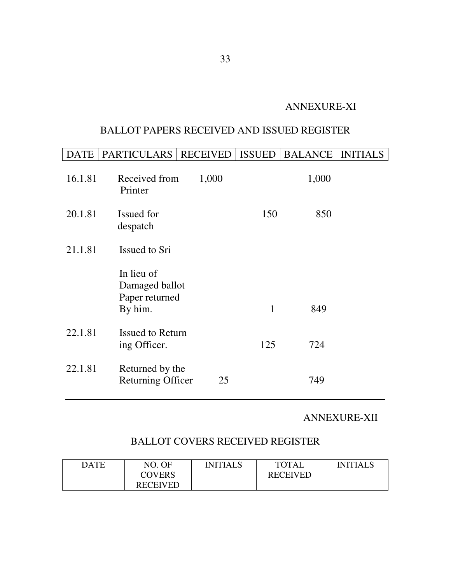## ANNEXURE-XI

## BALLOT PAPERS RECEIVED AND ISSUED REGISTER

| DATE   PARTICULARS   RECEIVED   ISSUED   BALANCE   INITIALS |  |  |
|-------------------------------------------------------------|--|--|
|                                                             |  |  |

| 16.1.81 | Received from<br>Printer                                  | 1,000 |     | 1,000 |
|---------|-----------------------------------------------------------|-------|-----|-------|
| 20.1.81 | Issued for<br>despatch                                    |       | 150 | 850   |
| 21.1.81 | Issued to Sri                                             |       |     |       |
|         | In lieu of<br>Damaged ballot<br>Paper returned<br>By him. |       | 1   | 849   |
| 22.1.81 | <b>Issued to Return</b><br>ing Officer.                   |       | 125 | 724   |
| 22.1.81 | Returned by the<br><b>Returning Officer</b>               | 25    |     | 749   |

## ANNEXURE-XII

## BALLOT COVERS RECEIVED REGISTER

| <b>DATE</b> | NO. OF          | INITIALS | <b>TOTAL</b>    | INITIALS |
|-------------|-----------------|----------|-----------------|----------|
|             | <b>COVERS</b>   |          | <b>RECEIVED</b> |          |
|             | <b>RECEIVED</b> |          |                 |          |